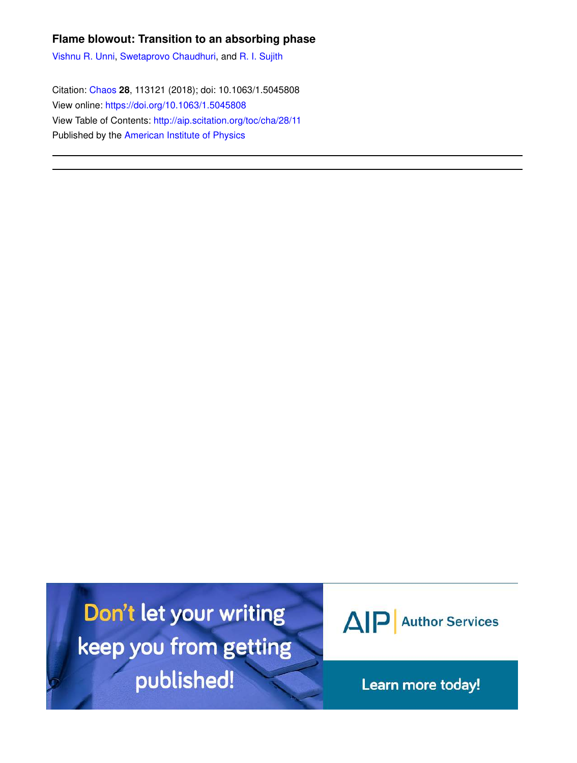# **Flame blowout: Transition to an absorbing phase**

Vishnu R. Unni, Swetaprovo Chaudhuri, and R. I. Sujith

Citation: Chaos **28**, 113121 (2018); doi: 10.1063/1.5045808 View online: https://doi.org/10.1063/1.5045808 View Table of Contents: http://aip.scitation.org/toc/cha/28/11 Published by the American Institute of Physics

Don't let your writing keep you from getting published!



Learn more today!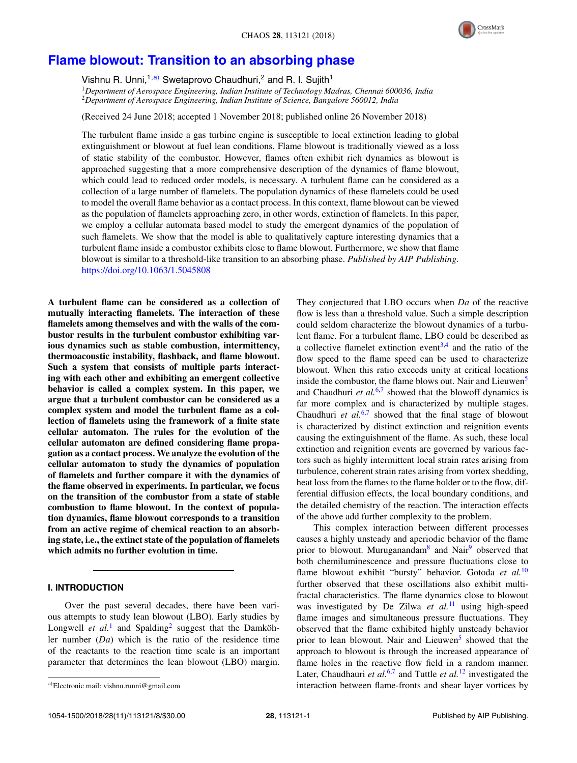

# **Flame blowout: Transition to an absorbing phase**

Vishnu R. Unni,<sup>1,a)</sup> Swetaprovo Chaudhuri,<sup>2</sup> and R. I. Sujith<sup>1</sup>

<sup>1</sup>*Department of Aerospace Engineering, Indian Institute of Technology Madras, Chennai 600036, India* <sup>2</sup>*Department of Aerospace Engineering, Indian Institute of Science, Bangalore 560012, India*

(Received 24 June 2018; accepted 1 November 2018; published online 26 November 2018)

The turbulent flame inside a gas turbine engine is susceptible to local extinction leading to global extinguishment or blowout at fuel lean conditions. Flame blowout is traditionally viewed as a loss of static stability of the combustor. However, flames often exhibit rich dynamics as blowout is approached suggesting that a more comprehensive description of the dynamics of flame blowout, which could lead to reduced order models, is necessary. A turbulent flame can be considered as a collection of a large number of flamelets. The population dynamics of these flamelets could be used to model the overall flame behavior as a contact process. In this context, flame blowout can be viewed as the population of flamelets approaching zero, in other words, extinction of flamelets. In this paper, we employ a cellular automata based model to study the emergent dynamics of the population of such flamelets. We show that the model is able to qualitatively capture interesting dynamics that a turbulent flame inside a combustor exhibits close to flame blowout. Furthermore, we show that flame blowout is similar to a threshold-like transition to an absorbing phase. *Published by AIP Publishing.* https://doi.org/10.1063/1.5045808

**A turbulent flame can be considered as a collection of mutually interacting flamelets. The interaction of these flamelets among themselves and with the walls of the combustor results in the turbulent combustor exhibiting various dynamics such as stable combustion, intermittency, thermoacoustic instability, flashback, and flame blowout. Such a system that consists of multiple parts interacting with each other and exhibiting an emergent collective behavior is called a complex system. In this paper, we argue that a turbulent combustor can be considered as a complex system and model the turbulent flame as a collection of flamelets using the framework of a finite state cellular automaton. The rules for the evolution of the cellular automaton are defined considering flame propagation as a contact process. We analyze the evolution of the cellular automaton to study the dynamics of population of flamelets and further compare it with the dynamics of the flame observed in experiments. In particular, we focus on the transition of the combustor from a state of stable combustion to flame blowout. In the context of population dynamics, flame blowout corresponds to a transition from an active regime of chemical reaction to an absorbing state, i.e., the extinct state of the population of flamelets which admits no further evolution in time.**

## **I. INTRODUCTION**

Over the past several decades, there have been various attempts to study lean blowout (LBO). Early studies by Longwell *et al.*<sup>1</sup> and Spalding<sup>2</sup> suggest that the Damköhler number (*Da*) which is the ratio of the residence time of the reactants to the reaction time scale is an important parameter that determines the lean blowout (LBO) margin. They conjectured that LBO occurs when *Da* of the reactive flow is less than a threshold value. Such a simple description could seldom characterize the blowout dynamics of a turbulent flame. For a turbulent flame, LBO could be described as a collective flamelet extinction event<sup>3,4</sup> and the ratio of the flow speed to the flame speed can be used to characterize blowout. When this ratio exceeds unity at critical locations inside the combustor, the flame blows out. Nair and Lieuwen<sup>5</sup> and Chaudhuri  $et al.<sup>6,7</sup>$  showed that the blowoff dynamics is far more complex and is characterized by multiple stages. Chaudhuri et al.<sup>6,7</sup> showed that the final stage of blowout is characterized by distinct extinction and reignition events causing the extinguishment of the flame. As such, these local extinction and reignition events are governed by various factors such as highly intermittent local strain rates arising from turbulence, coherent strain rates arising from vortex shedding, heat loss from the flames to the flame holder or to the flow, differential diffusion effects, the local boundary conditions, and the detailed chemistry of the reaction. The interaction effects of the above add further complexity to the problem.

This complex interaction between different processes causes a highly unsteady and aperiodic behavior of the flame prior to blowout. Muruganandam<sup>8</sup> and Nair<sup>9</sup> observed that both chemiluminescence and pressure fluctuations close to flame blowout exhibit "bursty" behavior. Gotoda *et al.*<sup>10</sup> further observed that these oscillations also exhibit multifractal characteristics. The flame dynamics close to blowout was investigated by De Zilwa *et al.*<sup>11</sup> using high-speed flame images and simultaneous pressure fluctuations. They observed that the flame exhibited highly unsteady behavior prior to lean blowout. Nair and Lieuwen<sup>5</sup> showed that the approach to blowout is through the increased appearance of flame holes in the reactive flow field in a random manner. Later, Chaudhauri *et al.*<sup>6,7</sup> and Tuttle *et al.*<sup>12</sup> investigated the interaction between flame-fronts and shear layer vortices by

<sup>a</sup>)Electronic mail: vishnu.runni@gmail.com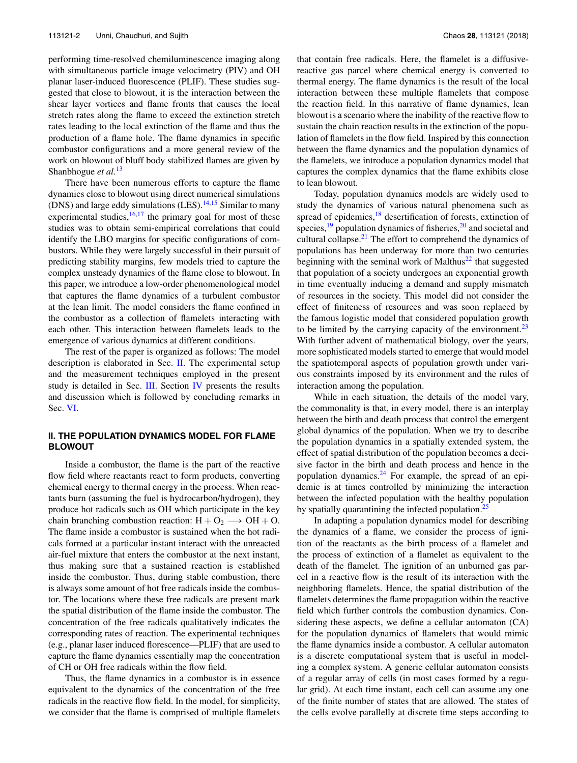performing time-resolved chemiluminescence imaging along with simultaneous particle image velocimetry (PIV) and OH planar laser-induced fluorescence (PLIF). These studies suggested that close to blowout, it is the interaction between the shear layer vortices and flame fronts that causes the local stretch rates along the flame to exceed the extinction stretch rates leading to the local extinction of the flame and thus the production of a flame hole. The flame dynamics in specific combustor configurations and a more general review of the work on blowout of bluff body stabilized flames are given by Shanbhogue *et al.*<sup>13</sup>

There have been numerous efforts to capture the flame dynamics close to blowout using direct numerical simulations (DNS) and large eddy simulations  $(LES).<sup>14,15</sup>$  Similar to many experimental studies,  $16,17$  the primary goal for most of these studies was to obtain semi-empirical correlations that could identify the LBO margins for specific configurations of combustors. While they were largely successful in their pursuit of predicting stability margins, few models tried to capture the complex unsteady dynamics of the flame close to blowout. In this paper, we introduce a low-order phenomenological model that captures the flame dynamics of a turbulent combustor at the lean limit. The model considers the flame confined in the combustor as a collection of flamelets interacting with each other. This interaction between flamelets leads to the emergence of various dynamics at different conditions.

The rest of the paper is organized as follows: The model description is elaborated in Sec. II. The experimental setup and the measurement techniques employed in the present study is detailed in Sec. III. Section IV presents the results and discussion which is followed by concluding remarks in Sec. VI.

## **II. THE POPULATION DYNAMICS MODEL FOR FLAME BLOWOUT**

Inside a combustor, the flame is the part of the reactive flow field where reactants react to form products, converting chemical energy to thermal energy in the process. When reactants burn (assuming the fuel is hydrocarbon/hydrogen), they produce hot radicals such as OH which participate in the key chain branching combustion reaction:  $H + O_2 \longrightarrow OH + O$ . The flame inside a combustor is sustained when the hot radicals formed at a particular instant interact with the unreacted air-fuel mixture that enters the combustor at the next instant, thus making sure that a sustained reaction is established inside the combustor. Thus, during stable combustion, there is always some amount of hot free radicals inside the combustor. The locations where these free radicals are present mark the spatial distribution of the flame inside the combustor. The concentration of the free radicals qualitatively indicates the corresponding rates of reaction. The experimental techniques (e.g., planar laser induced florescence—PLIF) that are used to capture the flame dynamics essentially map the concentration of CH or OH free radicals within the flow field.

Thus, the flame dynamics in a combustor is in essence equivalent to the dynamics of the concentration of the free radicals in the reactive flow field. In the model, for simplicity, we consider that the flame is comprised of multiple flamelets that contain free radicals. Here, the flamelet is a diffusivereactive gas parcel where chemical energy is converted to thermal energy. The flame dynamics is the result of the local interaction between these multiple flamelets that compose the reaction field. In this narrative of flame dynamics, lean blowout is a scenario where the inability of the reactive flow to sustain the chain reaction results in the extinction of the population of flamelets in the flow field. Inspired by this connection between the flame dynamics and the population dynamics of the flamelets, we introduce a population dynamics model that captures the complex dynamics that the flame exhibits close to lean blowout.

Today, population dynamics models are widely used to study the dynamics of various natural phenomena such as spread of epidemics, $18$  desertification of forests, extinction of species, $\frac{19}{9}$  population dynamics of fisheries, $\frac{20}{9}$  and societal and cultural collapse.<sup>21</sup> The effort to comprehend the dynamics of populations has been underway for more than two centuries beginning with the seminal work of Malthus $^{22}$  that suggested that population of a society undergoes an exponential growth in time eventually inducing a demand and supply mismatch of resources in the society. This model did not consider the effect of finiteness of resources and was soon replaced by the famous logistic model that considered population growth to be limited by the carrying capacity of the environment.<sup>23</sup> With further advent of mathematical biology, over the years, more sophisticated models started to emerge that would model the spatiotemporal aspects of population growth under various constraints imposed by its environment and the rules of interaction among the population.

While in each situation, the details of the model vary, the commonality is that, in every model, there is an interplay between the birth and death process that control the emergent global dynamics of the population. When we try to describe the population dynamics in a spatially extended system, the effect of spatial distribution of the population becomes a decisive factor in the birth and death process and hence in the population dynamics. $24$  For example, the spread of an epidemic is at times controlled by minimizing the interaction between the infected population with the healthy population by spatially quarantining the infected population.<sup>25</sup>

In adapting a population dynamics model for describing the dynamics of a flame, we consider the process of ignition of the reactants as the birth process of a flamelet and the process of extinction of a flamelet as equivalent to the death of the flamelet. The ignition of an unburned gas parcel in a reactive flow is the result of its interaction with the neighboring flamelets. Hence, the spatial distribution of the flamelets determines the flame propagation within the reactive field which further controls the combustion dynamics. Considering these aspects, we define a cellular automaton (CA) for the population dynamics of flamelets that would mimic the flame dynamics inside a combustor. A cellular automaton is a discrete computational system that is useful in modeling a complex system. A generic cellular automaton consists of a regular array of cells (in most cases formed by a regular grid). At each time instant, each cell can assume any one of the finite number of states that are allowed. The states of the cells evolve parallelly at discrete time steps according to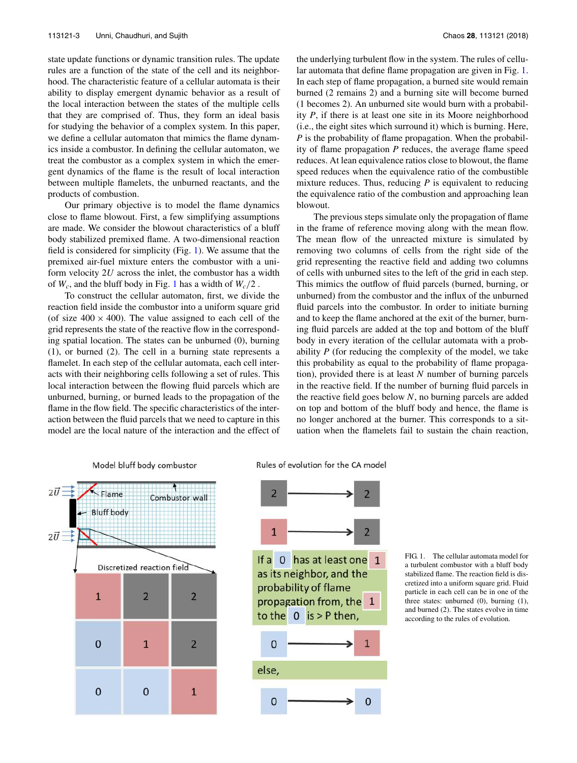state update functions or dynamic transition rules. The update rules are a function of the state of the cell and its neighborhood. The characteristic feature of a cellular automata is their ability to display emergent dynamic behavior as a result of the local interaction between the states of the multiple cells that they are comprised of. Thus, they form an ideal basis for studying the behavior of a complex system. In this paper, we define a cellular automaton that mimics the flame dynamics inside a combustor. In defining the cellular automaton, we treat the combustor as a complex system in which the emergent dynamics of the flame is the result of local interaction between multiple flamelets, the unburned reactants, and the products of combustion.

Our primary objective is to model the flame dynamics close to flame blowout. First, a few simplifying assumptions are made. We consider the blowout characteristics of a bluff body stabilized premixed flame. A two-dimensional reaction field is considered for simplicity (Fig. 1). We assume that the premixed air-fuel mixture enters the combustor with a uniform velocity 2*U* across the inlet, the combustor has a width of  $W_c$ , and the bluff body in Fig. 1 has a width of  $W_c/2$ .

To construct the cellular automaton, first, we divide the reaction field inside the combustor into a uniform square grid (of size  $400 \times 400$ ). The value assigned to each cell of the grid represents the state of the reactive flow in the corresponding spatial location. The states can be unburned (0), burning (1), or burned (2). The cell in a burning state represents a flamelet. In each step of the cellular automata, each cell interacts with their neighboring cells following a set of rules. This local interaction between the flowing fluid parcels which are unburned, burning, or burned leads to the propagation of the flame in the flow field. The specific characteristics of the interaction between the fluid parcels that we need to capture in this model are the local nature of the interaction and the effect of the underlying turbulent flow in the system. The rules of cellular automata that define flame propagation are given in Fig. 1. In each step of flame propagation, a burned site would remain burned (2 remains 2) and a burning site will become burned (1 becomes 2). An unburned site would burn with a probability *P*, if there is at least one site in its Moore neighborhood (i.e., the eight sites which surround it) which is burning. Here, *P* is the probability of flame propagation. When the probability of flame propagation *P* reduces, the average flame speed reduces. At lean equivalence ratios close to blowout, the flame speed reduces when the equivalence ratio of the combustible mixture reduces. Thus, reducing *P* is equivalent to reducing the equivalence ratio of the combustion and approaching lean blowout.

The previous steps simulate only the propagation of flame in the frame of reference moving along with the mean flow. The mean flow of the unreacted mixture is simulated by removing two columns of cells from the right side of the grid representing the reactive field and adding two columns of cells with unburned sites to the left of the grid in each step. This mimics the outflow of fluid parcels (burned, burning, or unburned) from the combustor and the influx of the unburned fluid parcels into the combustor. In order to initiate burning and to keep the flame anchored at the exit of the burner, burning fluid parcels are added at the top and bottom of the bluff body in every iteration of the cellular automata with a probability *P* (for reducing the complexity of the model, we take this probability as equal to the probability of flame propagation), provided there is at least *N* number of burning parcels in the reactive field. If the number of burning fluid parcels in the reactive field goes below *N*, no burning parcels are added on top and bottom of the bluff body and hence, the flame is no longer anchored at the burner. This corresponds to a situation when the flamelets fail to sustain the chain reaction,



Rules of evolution for the CA model



FIG. 1. The cellular automata model for a turbulent combustor with a bluff body stabilized flame. The reaction field is discretized into a uniform square grid. Fluid particle in each cell can be in one of the three states: unburned (0), burning (1), and burned (2). The states evolve in time according to the rules of evolution.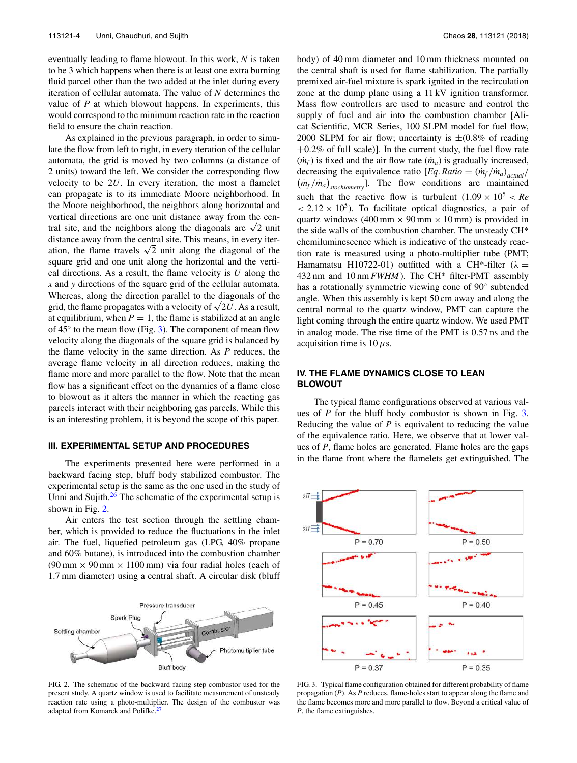eventually leading to flame blowout. In this work, *N* is taken to be 3 which happens when there is at least one extra burning fluid parcel other than the two added at the inlet during every iteration of cellular automata. The value of *N* determines the value of *P* at which blowout happens. In experiments, this would correspond to the minimum reaction rate in the reaction field to ensure the chain reaction.

As explained in the previous paragraph, in order to simulate the flow from left to right, in every iteration of the cellular automata, the grid is moved by two columns (a distance of 2 units) toward the left. We consider the corresponding flow velocity to be 2*U*. In every iteration, the most a flamelet can propagate is to its immediate Moore neighborhood. In the Moore neighborhood, the neighbors along horizontal and vertical directions are one unit distance away from the central site, and the neighbors along the diagonals are  $\sqrt{2}$  unit distance away from the central site. This means, in every iteration, the flame travels  $\sqrt{2}$  unit along the diagonal of the square grid and one unit along the horizontal and the vertical directions. As a result, the flame velocity is *U* along the *x* and *y* directions of the square grid of the cellular automata. Whereas, along the direction parallel to the diagonals of the whereas, along the direction parameter of the diagonals of the grid, the flame propagates with a velocity of  $\sqrt{2}U$ . As a result, at equilibrium, when  $P = 1$ , the flame is stabilized at an angle of  $45^\circ$  to the mean flow (Fig. 3). The component of mean flow velocity along the diagonals of the square grid is balanced by the flame velocity in the same direction. As *P* reduces, the average flame velocity in all direction reduces, making the flame more and more parallel to the flow. Note that the mean flow has a significant effect on the dynamics of a flame close to blowout as it alters the manner in which the reacting gas parcels interact with their neighboring gas parcels. While this is an interesting problem, it is beyond the scope of this paper.

### **III. EXPERIMENTAL SETUP AND PROCEDURES**

The experiments presented here were performed in a backward facing step, bluff body stabilized combustor. The experimental setup is the same as the one used in the study of Unni and Sujith.<sup>26</sup> The schematic of the experimental setup is shown in Fig. 2.

Air enters the test section through the settling chamber, which is provided to reduce the fluctuations in the inlet air. The fuel, liquefied petroleum gas (LPG, 40% propane and 60% butane), is introduced into the combustion chamber  $(90 \text{ mm} \times 90 \text{ mm} \times 1100 \text{ mm})$  via four radial holes (each of 1.7 mm diameter) using a central shaft. A circular disk (bluff



body) of 40 mm diameter and 10 mm thickness mounted on the central shaft is used for flame stabilization. The partially premixed air-fuel mixture is spark ignited in the recirculation zone at the dump plane using a 11 kV ignition transformer. Mass flow controllers are used to measure and control the supply of fuel and air into the combustion chamber [Alicat Scientific, MCR Series, 100 SLPM model for fuel flow, 2000 SLPM for air flow; uncertainty is  $\pm (0.8\% \text{ of reading})$ +0.2% of full scale)]. In the current study, the fuel flow rate  $(m_f)$  is fixed and the air flow rate  $(m_a)$  is gradually increased, decreasing the equivalence ratio  $[Eq, Ratio = (m_f / m_a)_{actual}$  $(m_f/m_a)$ <sub>stochiometry</sub>]. The flow conditions are maintained such that the reactive flow is turbulent  $(1.09 \times 10^5 \, < \, Re$  $<$  2.12  $\times$  10<sup>5</sup>). To facilitate optical diagnostics, a pair of quartz windows (400 mm  $\times$  90 mm  $\times$  10 mm) is provided in the side walls of the combustion chamber. The unsteady CH\* chemiluminescence which is indicative of the unsteady reaction rate is measured using a photo-multiplier tube (PMT; Hamamatsu H10722-01) outfitted with a CH<sup>\*</sup>-filter ( $\lambda$  = 432 nm and 10 nm *FWHM*). The CH\* filter-PMT assembly has a rotationally symmetric viewing cone of 90° subtended angle. When this assembly is kept 50 cm away and along the central normal to the quartz window, PMT can capture the light coming through the entire quartz window. We used PMT in analog mode. The rise time of the PMT is 0.57 ns and the acquisition time is  $10 \mu s$ .

### **IV. THE FLAME DYNAMICS CLOSE TO LEAN BLOWOUT**

The typical flame configurations observed at various values of *P* for the bluff body combustor is shown in Fig. 3. Reducing the value of *P* is equivalent to reducing the value of the equivalence ratio. Here, we observe that at lower values of *P*, flame holes are generated. Flame holes are the gaps in the flame front where the flamelets get extinguished. The



FIG. 3. Typical flame configuration obtained for different probability of flame propagation (*P*). As *P* reduces, flame-holes start to appear along the flame and the flame becomes more and more parallel to flow. Beyond a critical value of *P*, the flame extinguishes.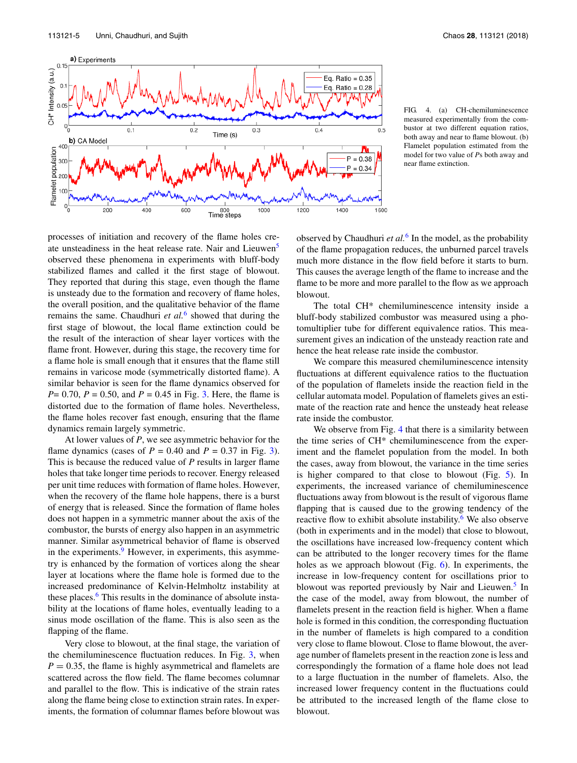

FIG. 4. (a) CH-chemiluminescence measured experimentally from the combustor at two different equation ratios, both away and near to flame blowout. (b) Flamelet population estimated from the model for two value of *P*s both away and near flame extinction.

processes of initiation and recovery of the flame holes create unsteadiness in the heat release rate. Nair and Lieuwen<sup>5</sup> observed these phenomena in experiments with bluff-body stabilized flames and called it the first stage of blowout. They reported that during this stage, even though the flame is unsteady due to the formation and recovery of flame holes, the overall position, and the qualitative behavior of the flame remains the same. Chaudhuri *et al.*<sup>6</sup> showed that during the first stage of blowout, the local flame extinction could be the result of the interaction of shear layer vortices with the flame front. However, during this stage, the recovery time for a flame hole is small enough that it ensures that the flame still remains in varicose mode (symmetrically distorted flame). A similar behavior is seen for the flame dynamics observed for *P*= 0.70, *P* = 0.50, and *P* = 0.45 in Fig. 3. Here, the flame is distorted due to the formation of flame holes. Nevertheless, the flame holes recover fast enough, ensuring that the flame dynamics remain largely symmetric.

At lower values of *P*, we see asymmetric behavior for the flame dynamics (cases of  $P = 0.40$  and  $P = 0.37$  in Fig. 3). This is because the reduced value of *P* results in larger flame holes that take longer time periods to recover. Energy released per unit time reduces with formation of flame holes. However, when the recovery of the flame hole happens, there is a burst of energy that is released. Since the formation of flame holes does not happen in a symmetric manner about the axis of the combustor, the bursts of energy also happen in an asymmetric manner. Similar asymmetrical behavior of flame is observed in the experiments.<sup>9</sup> However, in experiments, this asymmetry is enhanced by the formation of vortices along the shear layer at locations where the flame hole is formed due to the increased predominance of Kelvin-Helmholtz instability at these places.<sup>6</sup> This results in the dominance of absolute instability at the locations of flame holes, eventually leading to a sinus mode oscillation of the flame. This is also seen as the flapping of the flame.

Very close to blowout, at the final stage, the variation of the chemiluminescence fluctuation reduces. In Fig. 3, when  $P = 0.35$ , the flame is highly asymmetrical and flamelets are scattered across the flow field. The flame becomes columnar and parallel to the flow. This is indicative of the strain rates along the flame being close to extinction strain rates. In experiments, the formation of columnar flames before blowout was

observed by Chaudhuri *et al.*<sup>6</sup> In the model, as the probability of the flame propagation reduces, the unburned parcel travels much more distance in the flow field before it starts to burn. This causes the average length of the flame to increase and the flame to be more and more parallel to the flow as we approach blowout.

The total CH\* chemiluminescence intensity inside a bluff-body stabilized combustor was measured using a photomultiplier tube for different equivalence ratios. This measurement gives an indication of the unsteady reaction rate and hence the heat release rate inside the combustor.

We compare this measured chemiluminescence intensity fluctuations at different equivalence ratios to the fluctuation of the population of flamelets inside the reaction field in the cellular automata model. Population of flamelets gives an estimate of the reaction rate and hence the unsteady heat release rate inside the combustor.

We observe from Fig. 4 that there is a similarity between the time series of CH\* chemiluminescence from the experiment and the flamelet population from the model. In both the cases, away from blowout, the variance in the time series is higher compared to that close to blowout (Fig. 5). In experiments, the increased variance of chemiluminescence fluctuations away from blowout is the result of vigorous flame flapping that is caused due to the growing tendency of the reactive flow to exhibit absolute instability. $6$  We also observe (both in experiments and in the model) that close to blowout, the oscillations have increased low-frequency content which can be attributed to the longer recovery times for the flame holes as we approach blowout (Fig. 6). In experiments, the increase in low-frequency content for oscillations prior to blowout was reported previously by Nair and Lieuwen.<sup>5</sup> In the case of the model, away from blowout, the number of flamelets present in the reaction field is higher. When a flame hole is formed in this condition, the corresponding fluctuation in the number of flamelets is high compared to a condition very close to flame blowout. Close to flame blowout, the average number of flamelets present in the reaction zone is less and correspondingly the formation of a flame hole does not lead to a large fluctuation in the number of flamelets. Also, the increased lower frequency content in the fluctuations could be attributed to the increased length of the flame close to blowout.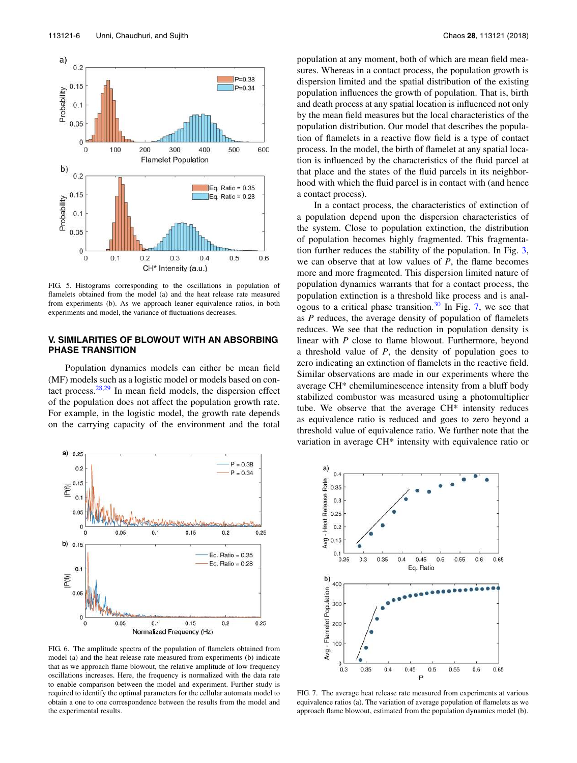

FIG. 5. Histograms corresponding to the oscillations in population of flamelets obtained from the model (a) and the heat release rate measured from experiments (b). As we approach leaner equivalence ratios, in both experiments and model, the variance of fluctuations decreases.

#### **V. SIMILARITIES OF BLOWOUT WITH AN ABSORBING PHASE TRANSITION**

Population dynamics models can either be mean field (MF) models such as a logistic model or models based on contact process. $28,29$  In mean field models, the dispersion effect of the population does not affect the population growth rate. For example, in the logistic model, the growth rate depends on the carrying capacity of the environment and the total



FIG. 6. The amplitude spectra of the population of flamelets obtained from model (a) and the heat release rate measured from experiments (b) indicate that as we approach flame blowout, the relative amplitude of low frequency oscillations increases. Here, the frequency is normalized with the data rate to enable comparison between the model and experiment. Further study is required to identify the optimal parameters for the cellular automata model to obtain a one to one correspondence between the results from the model and the experimental results.

population at any moment, both of which are mean field measures. Whereas in a contact process, the population growth is dispersion limited and the spatial distribution of the existing population influences the growth of population. That is, birth and death process at any spatial location is influenced not only by the mean field measures but the local characteristics of the population distribution. Our model that describes the population of flamelets in a reactive flow field is a type of contact process. In the model, the birth of flamelet at any spatial location is influenced by the characteristics of the fluid parcel at that place and the states of the fluid parcels in its neighborhood with which the fluid parcel is in contact with (and hence a contact process).

In a contact process, the characteristics of extinction of a population depend upon the dispersion characteristics of the system. Close to population extinction, the distribution of population becomes highly fragmented. This fragmentation further reduces the stability of the population. In Fig. 3, we can observe that at low values of *P*, the flame becomes more and more fragmented. This dispersion limited nature of population dynamics warrants that for a contact process, the population extinction is a threshold like process and is analogous to a critical phase transition. $30$  In Fig. 7, we see that as *P* reduces, the average density of population of flamelets reduces. We see that the reduction in population density is linear with *P* close to flame blowout. Furthermore, beyond a threshold value of *P*, the density of population goes to zero indicating an extinction of flamelets in the reactive field. Similar observations are made in our experiments where the average CH\* chemiluminescence intensity from a bluff body stabilized combustor was measured using a photomultiplier tube. We observe that the average CH\* intensity reduces as equivalence ratio is reduced and goes to zero beyond a threshold value of equivalence ratio. We further note that the variation in average CH\* intensity with equivalence ratio or



FIG. 7. The average heat release rate measured from experiments at various equivalence ratios (a). The variation of average population of flamelets as we approach flame blowout, estimated from the population dynamics model (b).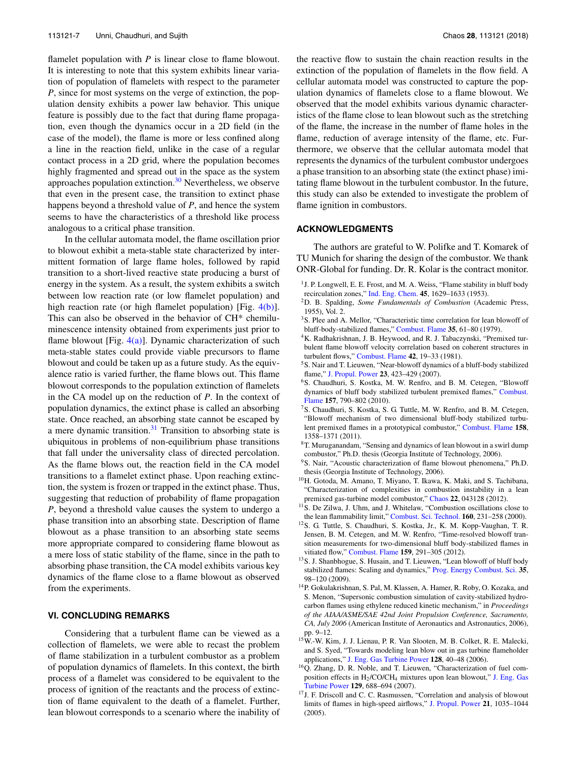flamelet population with *P* is linear close to flame blowout. It is interesting to note that this system exhibits linear variation of population of flamelets with respect to the parameter *P*, since for most systems on the verge of extinction, the population density exhibits a power law behavior. This unique feature is possibly due to the fact that during flame propagation, even though the dynamics occur in a 2D field (in the case of the model), the flame is more or less confined along a line in the reaction field, unlike in the case of a regular contact process in a 2D grid, where the population becomes highly fragmented and spread out in the space as the system approaches population extinction.<sup>30</sup> Nevertheless, we observe that even in the present case, the transition to extinct phase happens beyond a threshold value of *P*, and hence the system seems to have the characteristics of a threshold like process analogous to a critical phase transition.

In the cellular automata model, the flame oscillation prior to blowout exhibit a meta-stable state characterized by intermittent formation of large flame holes, followed by rapid transition to a short-lived reactive state producing a burst of energy in the system. As a result, the system exhibits a switch between low reaction rate (or low flamelet population) and high reaction rate (or high flamelet population) [Fig.  $4(b)$ ]. This can also be observed in the behavior of CH\* chemiluminescence intensity obtained from experiments just prior to flame blowout [Fig.  $4(a)$ ]. Dynamic characterization of such meta-stable states could provide viable precursors to flame blowout and could be taken up as a future study. As the equivalence ratio is varied further, the flame blows out. This flame blowout corresponds to the population extinction of flamelets in the CA model up on the reduction of *P*. In the context of population dynamics, the extinct phase is called an absorbing state. Once reached, an absorbing state cannot be escaped by a mere dynamic transition. $31$  Transition to absorbing state is ubiquitous in problems of non-equilibrium phase transitions that fall under the universality class of directed percolation. As the flame blows out, the reaction field in the CA model transitions to a flamelet extinct phase. Upon reaching extinction, the system is frozen or trapped in the extinct phase. Thus, suggesting that reduction of probability of flame propagation *P*, beyond a threshold value causes the system to undergo a phase transition into an absorbing state. Description of flame blowout as a phase transition to an absorbing state seems more appropriate compared to considering flame blowout as a mere loss of static stability of the flame, since in the path to absorbing phase transition, the CA model exhibits various key dynamics of the flame close to a flame blowout as observed from the experiments.

### **VI. CONCLUDING REMARKS**

Considering that a turbulent flame can be viewed as a collection of flamelets, we were able to recast the problem of flame stabilization in a turbulent combustor as a problem of population dynamics of flamelets. In this context, the birth process of a flamelet was considered to be equivalent to the process of ignition of the reactants and the process of extinction of flame equivalent to the death of a flamelet. Further, lean blowout corresponds to a scenario where the inability of the reactive flow to sustain the chain reaction results in the extinction of the population of flamelets in the flow field. A cellular automata model was constructed to capture the population dynamics of flamelets close to a flame blowout. We observed that the model exhibits various dynamic characteristics of the flame close to lean blowout such as the stretching of the flame, the increase in the number of flame holes in the flame, reduction of average intensity of the flame, etc. Furthermore, we observe that the cellular automata model that represents the dynamics of the turbulent combustor undergoes a phase transition to an absorbing state (the extinct phase) imitating flame blowout in the turbulent combustor. In the future, this study can also be extended to investigate the problem of flame ignition in combustors.

#### **ACKNOWLEDGMENTS**

The authors are grateful to W. Polifke and T. Komarek of TU Munich for sharing the design of the combustor. We thank ONR-Global for funding. Dr. R. Kolar is the contract monitor.

- <sup>1</sup> J. P. Longwell, E. E. Frost, and M. A. Weiss, "Flame stability in bluff body recirculation zones," Ind. Eng. Chem. **45**, 1629–1633 (1953).
- <sup>2</sup>D. B. Spalding, *Some Fundamentals of Combustion* (Academic Press, 1955), Vol. 2.
- <sup>3</sup>S. Plee and A. Mellor, "Characteristic time correlation for lean blowoff of bluff-body-stabilized flames," Combust. Flame **35**, 61–80 (1979).
- <sup>4</sup>K. Radhakrishnan, J. B. Heywood, and R. J. Tabaczynski, "Premixed turbulent flame blowoff velocity correlation based on coherent structures in turbulent flows," Combust. Flame **42**, 19–33 (1981).
- <sup>5</sup>S. Nair and T. Lieuwen, "Near-blowoff dynamics of a bluff-body stabilized flame," J. Propul. Power **23**, 423–429 (2007).
- <sup>6</sup>S. Chaudhuri, S. Kostka, M. W. Renfro, and B. M. Cetegen, "Blowoff dynamics of bluff body stabilized turbulent premixed flames," Combust. Flame **157**, 790–802 (2010).
- <sup>7</sup>S. Chaudhuri, S. Kostka, S. G. Tuttle, M. W. Renfro, and B. M. Cetegen, "Blowoff mechanism of two dimensional bluff-body stabilized turbulent premixed flames in a prototypical combustor," Combust. Flame **158**, 1358–1371 (2011).
- <sup>8</sup>T. Muruganandam, "Sensing and dynamics of lean blowout in a swirl dump combustor," Ph.D. thesis (Georgia Institute of Technology, 2006).
- <sup>9</sup>S. Nair, "Acoustic characterization of flame blowout phenomena," Ph.D. thesis (Georgia Institute of Technology, 2006).
- <sup>10</sup>H. Gotoda, M. Amano, T. Miyano, T. Ikawa, K. Maki, and S. Tachibana, "Characterization of complexities in combustion instability in a lean premixed gas-turbine model combustor," Chaos **22**, 043128 (2012).
- <sup>11</sup>S. De Zilwa, J. Uhm, and J. Whitelaw, "Combustion oscillations close to the lean flammability limit," Combust. Sci. Technol. **160**, 231–258 (2000).
- <sup>12</sup>S. G. Tuttle, S. Chaudhuri, S. Kostka, Jr., K. M. Kopp-Vaughan, T. R. Jensen, B. M. Cetegen, and M. W. Renfro, "Time-resolved blowoff transition measurements for two-dimensional bluff body-stabilized flames in vitiated flow," Combust. Flame **159**, 291–305 (2012).
- <sup>13</sup>S. J. Shanbhogue, S. Husain, and T. Lieuwen, "Lean blowoff of bluff body stabilized flames: Scaling and dynamics," Prog. Energy Combust. Sci. **35**, 98–120 (2009).
- <sup>14</sup>P. Gokulakrishnan, S. Pal, M. Klassen, A. Hamer, R. Roby, O. Kozaka, and S. Menon, "Supersonic combustion simulation of cavity-stabilized hydrocarbon flames using ethylene reduced kinetic mechanism," in *Proceedings of the AIAA/ASME/SAE 42nd Joint Propulsion Conference, Sacramento, CA, July 2006* (American Institute of Aeronautics and Astronautics, 2006), pp. 9–12.
- <sup>15</sup>W.-W. Kim, J. J. Lienau, P. R. Van Slooten, M. B. Colket, R. E. Malecki, and S. Syed, "Towards modeling lean blow out in gas turbine flameholder applications," J. Eng. Gas Turbine Power **128**, 40–48 (2006).
- <sup>16</sup>Q. Zhang, D. R. Noble, and T. Lieuwen, "Characterization of fuel composition effects in H2/CO/CH<sup>4</sup> mixtures upon lean blowout," J. Eng. Gas Turbine Power **129**, 688–694 (2007).
- <sup>17</sup>J. F. Driscoll and C. C. Rasmussen, "Correlation and analysis of blowout limits of flames in high-speed airflows," J. Propul. Power **21**, 1035–1044 (2005).